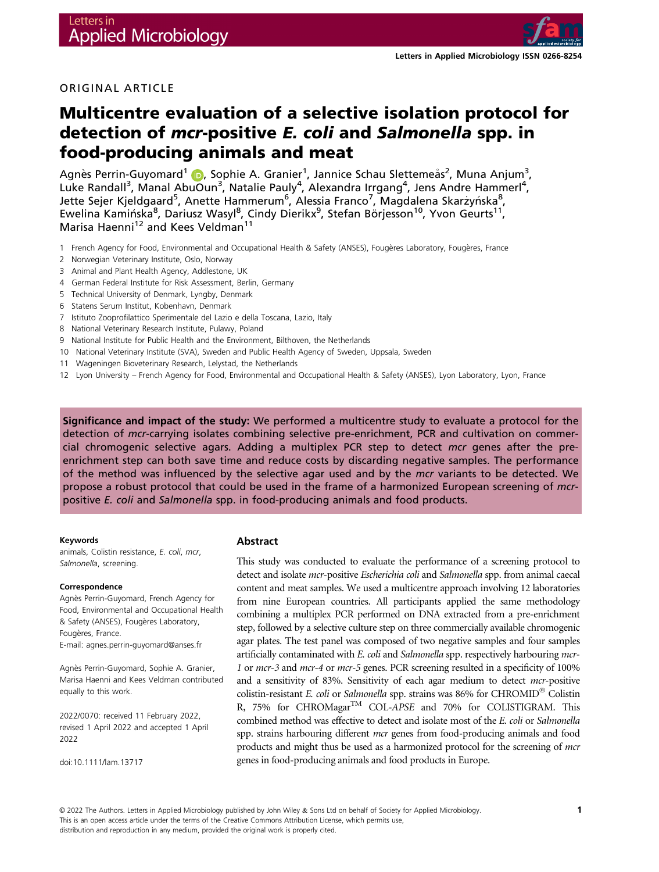

# ORIGINAL ARTICLE

# Multicentre evaluation of a selective isolation protocol for detection of mcr-positive E. coli and Salmonella spp. in food-producing animals and meat

Agnès Perrin-Guyomard<sup>1</sup> (D, Sophie A. Granier<sup>1</sup>, Jannice Schau Slettemeås<sup>2</sup>, Muna Anjum<sup>3</sup>, Luke Randall<sup>3</sup>, Manal AbuOun<sup>3</sup>, Natalie Pauly<sup>4</sup>, Alexandra Irrgang<sup>4</sup>, Jens Andre Hammerl<sup>4</sup>, Jette Sejer Kjeldgaard<sup>5</sup>, Anette Hammerum<sup>6</sup>, Alessia Franco<sup>7</sup>, Magdalena Skarżyńska<sup>8</sup>, Ewelina Kamińska<sup>8</sup>, Dariusz Wasyl<sup>8</sup>, Cindy Dierikx<sup>9</sup>, Stefan Börjesson<sup>10</sup>, Yvon Geurts<sup>11</sup>, Marisa Haenni<sup>12</sup> and Kees Veldman<sup>11</sup>

- 1 French Agency for Food, Environmental and Occupational Health & Safety (ANSES), Fougères Laboratory, Fougères, France
- 2 Norwegian Veterinary Institute, Oslo, Norway
- 3 Animal and Plant Health Agency, Addlestone, UK
- 4 German Federal Institute for Risk Assessment, Berlin, Germany
- 5 Technical University of Denmark, Lyngby, Denmark
- 6 Statens Serum Institut, Kobenhavn, Denmark
- 7 Istituto Zooprofilattico Sperimentale del Lazio e della Toscana, Lazio, Italy
- 8 National Veterinary Research Institute, Pulawy, Poland
- 9 National Institute for Public Health and the Environment, Bilthoven, the Netherlands
- 10 National Veterinary Institute (SVA), Sweden and Public Health Agency of Sweden, Uppsala, Sweden
- 11 Wageningen Bioveterinary Research, Lelystad, the Netherlands
- 12 Lyon University French Agency for Food, Environmental and Occupational Health & Safety (ANSES), Lyon Laboratory, Lyon, France

Significance and impact of the study: We performed a multicentre study to evaluate a protocol for the detection of mcr-carrying isolates combining selective pre-enrichment, PCR and cultivation on commercial chromogenic selective agars. Adding a multiplex PCR step to detect mcr genes after the preenrichment step can both save time and reduce costs by discarding negative samples. The performance of the method was influenced by the selective agar used and by the mcr variants to be detected. We propose a robust protocol that could be used in the frame of a harmonized European screening of mcrpositive E. coli and Salmonella spp. in food-producing animals and food products.

#### Keywords

animals, Colistin resistance, E. coli, mcr, Salmonella, screening.

#### Correspondence

Agnès Perrin-Guyomard, French Agency for Food, Environmental and Occupational Health & Safety (ANSES), Fougères Laboratory, Fougères, France. E-mail: [agnes.perrin-guyomard@anses.fr](mailto:)

Agnès Perrin-Guyomard, Sophie A. Granier, Marisa Haenni and Kees Veldman contributed equally to this work.

2022/0070: received 11 February 2022, revised 1 April 2022 and accepted 1 April 2022

doi:10.1111/lam.13717

#### Abstract

This study was conducted to evaluate the performance of a screening protocol to detect and isolate mcr-positive Escherichia coli and Salmonella spp. from animal caecal content and meat samples. We used a multicentre approach involving 12 laboratories from nine European countries. All participants applied the same methodology combining a multiplex PCR performed on DNA extracted from a pre-enrichment step, followed by a selective culture step on three commercially available chromogenic agar plates. The test panel was composed of two negative samples and four samples artificially contaminated with E. coli and Salmonella spp. respectively harbouring mcr-1 or mcr-3 and mcr-4 or mcr-5 genes. PCR screening resulted in a specificity of 100% and a sensitivity of 83%. Sensitivity of each agar medium to detect mcr-positive colistin-resistant E. coli or Salmonella spp. strains was 86% for CHROMID<sup>®</sup> Colistin R, 75% for CHROMagar<sup>TM</sup> COL-APSE and 70% for COLISTIGRAM. This combined method was effective to detect and isolate most of the E. coli or Salmonella spp. strains harbouring different mcr genes from food-producing animals and food products and might thus be used as a harmonized protocol for the screening of *mcr* genes in food-producing animals and food products in Europe.

© 2022 The Authors. Letters in Applied Microbiology published by John Wiley & Sons Ltd on behalf of Society for Applied Microbiology. This is an open access article under the terms of the [Creative Commons Attribution](http://creativecommons.org/licenses/by/4.0/) License, which permits use, distribution and reproduction in any medium, provided the original work is properly cited.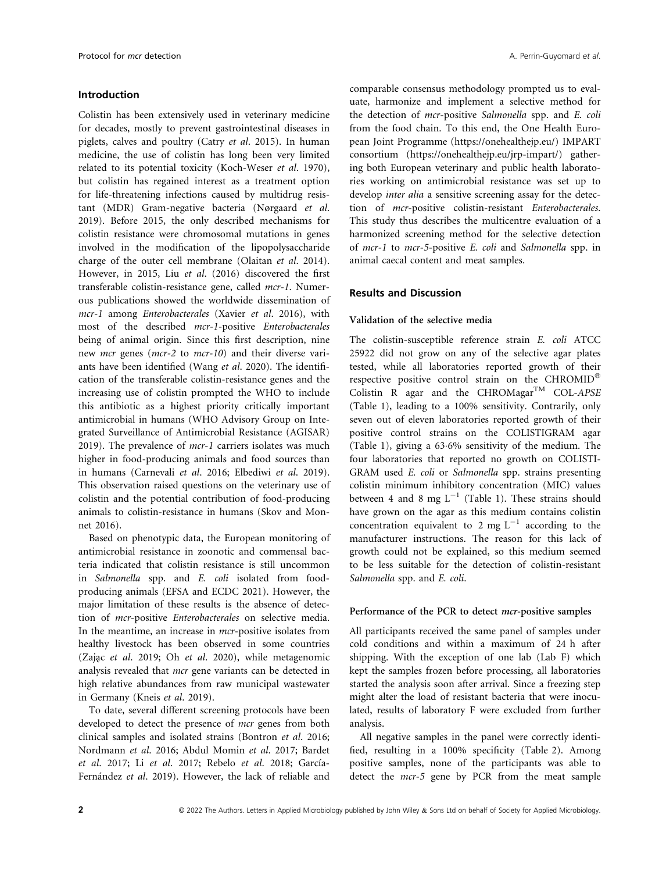# Introduction

Colistin has been extensively used in veterinary medicine for decades, mostly to prevent gastrointestinal diseases in piglets, calves and poultry (Catry et al. 2015). In human medicine, the use of colistin has long been very limited related to its potential toxicity (Koch-Weser et al. 1970), but colistin has regained interest as a treatment option for life-threatening infections caused by multidrug resistant (MDR) Gram-negative bacteria (Nørgaard et al. 2019). Before 2015, the only described mechanisms for colistin resistance were chromosomal mutations in genes involved in the modification of the lipopolysaccharide charge of the outer cell membrane (Olaitan et al. 2014). However, in 2015, Liu et al. (2016) discovered the first transferable colistin-resistance gene, called mcr-1. Numerous publications showed the worldwide dissemination of mcr-1 among Enterobacterales (Xavier et al. 2016), with most of the described mcr-1-positive Enterobacterales being of animal origin. Since this first description, nine new *mcr* genes (*mcr-2* to *mcr-10*) and their diverse variants have been identified (Wang et al. 2020). The identification of the transferable colistin-resistance genes and the increasing use of colistin prompted the WHO to include this antibiotic as a highest priority critically important antimicrobial in humans (WHO Advisory Group on Integrated Surveillance of Antimicrobial Resistance (AGISAR) 2019). The prevalence of  $mcr-1$  carriers isolates was much higher in food-producing animals and food sources than in humans (Carnevali et al. 2016; Elbediwi et al. 2019). This observation raised questions on the veterinary use of colistin and the potential contribution of food-producing animals to colistin-resistance in humans (Skov and Monnet 2016).

Based on phenotypic data, the European monitoring of antimicrobial resistance in zoonotic and commensal bacteria indicated that colistin resistance is still uncommon in Salmonella spp. and E. coli isolated from foodproducing animals (EFSA and ECDC 2021). However, the major limitation of these results is the absence of detection of mcr-positive Enterobacterales on selective media. In the meantime, an increase in *mcr*-positive isolates from healthy livestock has been observed in some countries (Zając et al. 2019; Oh et al. 2020), while metagenomic analysis revealed that *mcr* gene variants can be detected in high relative abundances from raw municipal wastewater in Germany (Kneis et al. 2019).

To date, several different screening protocols have been developed to detect the presence of *mcr* genes from both clinical samples and isolated strains (Bontron et al. 2016; Nordmann et al. 2016; Abdul Momin et al. 2017; Bardet et al. 2017; Li et al. 2017; Rebelo et al. 2018; García-Fernández et al. 2019). However, the lack of reliable and

comparable consensus methodology prompted us to evaluate, harmonize and implement a selective method for the detection of mcr-positive Salmonella spp. and E. coli from the food chain. To this end, the One Health European Joint Programme ([https://onehealthejp.eu/\)](https://onehealthejp.eu/) IMPART consortium ([https://onehealthejp.eu/jrp-impart/\)](https://onehealthejp.eu/jrp-impart/) gathering both European veterinary and public health laboratories working on antimicrobial resistance was set up to develop inter alia a sensitive screening assay for the detection of mcr-positive colistin-resistant Enterobacterales. This study thus describes the multicentre evaluation of a harmonized screening method for the selective detection of mcr-1 to mcr-5-positive E. coli and Salmonella spp. in animal caecal content and meat samples.

## Results and Discussion

## Validation of the selective media

The colistin-susceptible reference strain E. coli ATCC 25922 did not grow on any of the selective agar plates tested, while all laboratories reported growth of their respective positive control strain on the CHROMID Colistin R agar and the CHROMagar<sup>TM</sup> COL-APSE (Table 1), leading to a 100% sensitivity. Contrarily, only seven out of eleven laboratories reported growth of their positive control strains on the COLISTIGRAM agar (Table 1), giving a 636% sensitivity of the medium. The four laboratories that reported no growth on COLISTI-GRAM used E. coli or Salmonella spp. strains presenting colistin minimum inhibitory concentration (MIC) values between 4 and 8 mg  $L^{-1}$  (Table 1). These strains should have grown on the agar as this medium contains colistin concentration equivalent to 2 mg  $L^{-1}$  according to the manufacturer instructions. The reason for this lack of growth could not be explained, so this medium seemed to be less suitable for the detection of colistin-resistant Salmonella spp. and E. coli.

## Performance of the PCR to detect mcr-positive samples

All participants received the same panel of samples under cold conditions and within a maximum of 24 h after shipping. With the exception of one lab (Lab F) which kept the samples frozen before processing, all laboratories started the analysis soon after arrival. Since a freezing step might alter the load of resistant bacteria that were inoculated, results of laboratory F were excluded from further analysis.

All negative samples in the panel were correctly identified, resulting in a 100% specificity (Table 2). Among positive samples, none of the participants was able to detect the mcr-5 gene by PCR from the meat sample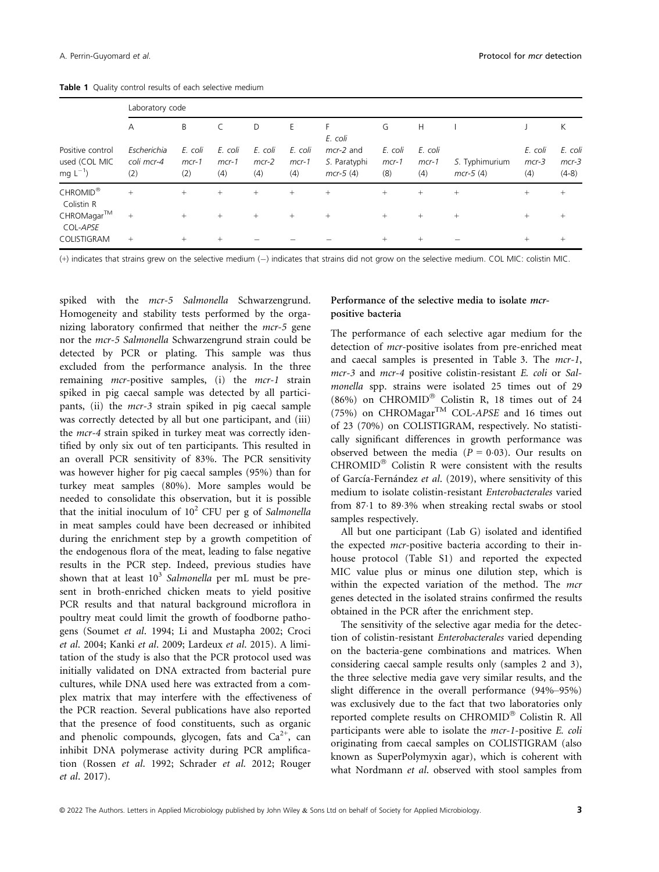|                                                  | Laboratory code                  |                           |                           |                           |                           |                                           |                           |                           |                              |                           |                               |
|--------------------------------------------------|----------------------------------|---------------------------|---------------------------|---------------------------|---------------------------|-------------------------------------------|---------------------------|---------------------------|------------------------------|---------------------------|-------------------------------|
|                                                  | $\overline{A}$                   | B                         |                           | D                         | E                         | F<br>E. coli                              | G                         | H                         |                              |                           | К                             |
| Positive control<br>used (COL MIC<br>$mq L^{-1}$ | Escherichia<br>coli mcr-4<br>(2) | E. coli<br>$mcr-1$<br>(2) | E. coli<br>$mcr-1$<br>(4) | E. coli<br>$mcr-2$<br>(4) | E. coli<br>$mcr-1$<br>(4) | $mcr-2$ and<br>S. Paratyphi<br>$mcr-5(4)$ | E. coli<br>$mcr-1$<br>(8) | E. coli<br>$mcr-1$<br>(4) | S. Typhimurium<br>$mcr-5(4)$ | E. coli<br>$mcr-3$<br>(4) | E. coli<br>$mcr-3$<br>$(4-8)$ |
| CHROMID <sup>®</sup><br>Colistin R               | $+$                              | $+$                       | $+$                       | $^{+}$                    | $+$                       | $^{+}$                                    | $+$                       | $+$                       | $+$                          | $+$                       | $^{+}$                        |
| $CHROMagar^{TM}$<br>COL-APSE                     | $\! + \!\!\!\!$                  | $+$                       | $+$                       | $^{+}$                    | $+$                       | $^{+}$                                    | $+$                       | $^{+}$                    | $+$                          | $+$                       | $^{+}$                        |
| COLISTIGRAM                                      | $+$                              | $+$                       | $+$                       |                           |                           |                                           | $^{+}$                    | $^{+}$                    |                              | $+$                       | $^{+}$                        |

Table 1 Quality control results of each selective medium

(+) indicates that strains grew on the selective medium (-) indicates that strains did not grow on the selective medium. COL MIC: colistin MIC.

spiked with the mcr-5 Salmonella Schwarzengrund. Homogeneity and stability tests performed by the organizing laboratory confirmed that neither the mcr-5 gene nor the mcr-5 Salmonella Schwarzengrund strain could be detected by PCR or plating. This sample was thus excluded from the performance analysis. In the three remaining mcr-positive samples, (i) the mcr-1 strain spiked in pig caecal sample was detected by all participants, (ii) the mcr-3 strain spiked in pig caecal sample was correctly detected by all but one participant, and (iii) the *mcr*-4 strain spiked in turkey meat was correctly identified by only six out of ten participants. This resulted in an overall PCR sensitivity of 83%. The PCR sensitivity was however higher for pig caecal samples (95%) than for turkey meat samples (80%). More samples would be needed to consolidate this observation, but it is possible that the initial inoculum of  $10^2$  CFU per g of Salmonella in meat samples could have been decreased or inhibited during the enrichment step by a growth competition of the endogenous flora of the meat, leading to false negative results in the PCR step. Indeed, previous studies have shown that at least  $10^3$  Salmonella per mL must be present in broth-enriched chicken meats to yield positive PCR results and that natural background microflora in poultry meat could limit the growth of foodborne pathogens (Soumet et al. 1994; Li and Mustapha 2002; Croci et al. 2004; Kanki et al. 2009; Lardeux et al. 2015). A limitation of the study is also that the PCR protocol used was initially validated on DNA extracted from bacterial pure cultures, while DNA used here was extracted from a complex matrix that may interfere with the effectiveness of the PCR reaction. Several publications have also reported that the presence of food constituents, such as organic and phenolic compounds, glycogen, fats and  $Ca^{2+}$ , can inhibit DNA polymerase activity during PCR amplification (Rossen et al. 1992; Schrader et al. 2012; Rouger et al. 2017).

# Performance of the selective media to isolate mcrpositive bacteria

The performance of each selective agar medium for the detection of *mcr*-positive isolates from pre-enriched meat and caecal samples is presented in Table 3. The mcr-1, mcr-3 and mcr-4 positive colistin-resistant E. coli or Salmonella spp. strains were isolated 25 times out of 29 (86%) on CHROMID® Colistin R, 18 times out of 24 (75%) on CHROMagar<sup>TM</sup> COL-APSE and 16 times out of 23 (70%) on COLISTIGRAM, respectively. No statistically significant differences in growth performance was observed between the media ( $P = 0.03$ ). Our results on  $CHROMID^@$  Colistin R were consistent with the results of García-Fernández et al. (2019), where sensitivity of this medium to isolate colistin-resistant Enterobacterales varied from 871 to 893% when streaking rectal swabs or stool samples respectively.

All but one participant (Lab G) isolated and identified the expected mcr-positive bacteria according to their inhouse protocol (Table S1) and reported the expected MIC value plus or minus one dilution step, which is within the expected variation of the method. The mcr genes detected in the isolated strains confirmed the results obtained in the PCR after the enrichment step.

The sensitivity of the selective agar media for the detection of colistin-resistant Enterobacterales varied depending on the bacteria-gene combinations and matrices. When considering caecal sample results only (samples 2 and 3), the three selective media gave very similar results, and the slight difference in the overall performance (94%–95%) was exclusively due to the fact that two laboratories only reported complete results on CHROMID<sup>®</sup> Colistin R. All participants were able to isolate the mcr-1-positive E. coli originating from caecal samples on COLISTIGRAM (also known as SuperPolymyxin agar), which is coherent with what Nordmann et al. observed with stool samples from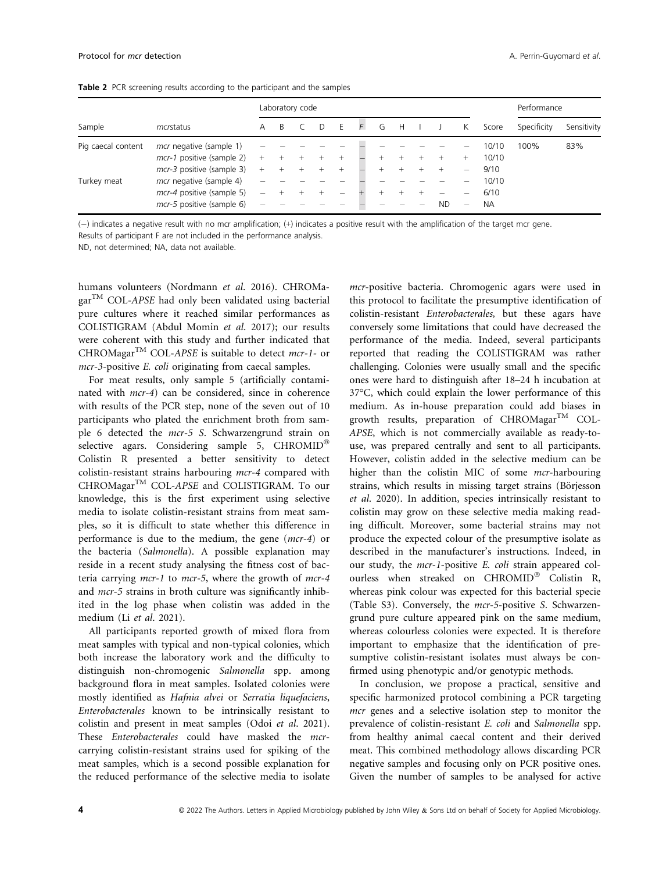|                    |                                |      |              | Laboratory code |       |   |   |   |           |                          |           | Performance |             |
|--------------------|--------------------------------|------|--------------|-----------------|-------|---|---|---|-----------|--------------------------|-----------|-------------|-------------|
| Sample             | mcrstatus                      | A    | <sup>R</sup> |                 |       | F | G | H |           | K.                       | Score     | Specificity | Sensitivity |
| Pig caecal content | <i>mcr</i> negative (sample 1) |      |              |                 |       |   |   |   |           |                          | 10/10     | 100%        | 83%         |
|                    | mcr-1 positive (sample 2)      | $^+$ |              |                 | $\pm$ |   |   |   |           |                          | 10/10     |             |             |
|                    | mcr-3 positive (sample 3)      | $+$  | $^+$         |                 | $^+$  |   |   |   |           | $\overline{\phantom{0}}$ | 9/10      |             |             |
| Turkey meat        | mcr negative (sample 4)        |      |              |                 |       |   |   |   |           |                          | 10/10     |             |             |
|                    | mcr-4 positive (sample 5)      | -    |              |                 |       |   |   |   |           | $\overline{\phantom{a}}$ | 6/10      |             |             |
|                    | mcr-5 positive (sample 6)      |      |              |                 |       |   |   |   | <b>ND</b> | -                        | <b>NA</b> |             |             |

() indicates a negative result with no mcr amplification; (+) indicates a positive result with the amplification of the target mcr gene.

Results of participant F are not included in the performance analysis.

ND, not determined; NA, data not available.

humans volunteers (Nordmann et al. 2016). CHROMa $gar^{TM} COL-APSE$  had only been validated using bacterial pure cultures where it reached similar performances as COLISTIGRAM (Abdul Momin et al. 2017); our results were coherent with this study and further indicated that CHROMagar<sup>TM</sup> COL-APSE is suitable to detect mcr-1- or mcr-3-positive E. coli originating from caecal samples.

For meat results, only sample 5 (artificially contaminated with mcr-4) can be considered, since in coherence with results of the PCR step, none of the seven out of 10 participants who plated the enrichment broth from sample 6 detected the mcr-5 S. Schwarzengrund strain on selective agars. Considering sample 5, CHROMID® Colistin R presented a better sensitivity to detect colistin-resistant strains harbouring mcr-4 compared with CHROMagar<sup>TM</sup> COL-APSE and COLISTIGRAM. To our knowledge, this is the first experiment using selective media to isolate colistin-resistant strains from meat samples, so it is difficult to state whether this difference in performance is due to the medium, the gene (mcr-4) or the bacteria (Salmonella). A possible explanation may reside in a recent study analysing the fitness cost of bacteria carrying mcr-1 to mcr-5, where the growth of mcr-4 and *mcr*-5 strains in broth culture was significantly inhibited in the log phase when colistin was added in the medium (Li et al. 2021).

All participants reported growth of mixed flora from meat samples with typical and non-typical colonies, which both increase the laboratory work and the difficulty to distinguish non-chromogenic Salmonella spp. among background flora in meat samples. Isolated colonies were mostly identified as Hafnia alvei or Serratia liquefaciens, Enterobacterales known to be intrinsically resistant to colistin and present in meat samples (Odoi et al. 2021). These Enterobacterales could have masked the mcrcarrying colistin-resistant strains used for spiking of the meat samples, which is a second possible explanation for the reduced performance of the selective media to isolate

mcr-positive bacteria. Chromogenic agars were used in this protocol to facilitate the presumptive identification of colistin-resistant Enterobacterales, but these agars have conversely some limitations that could have decreased the performance of the media. Indeed, several participants reported that reading the COLISTIGRAM was rather challenging. Colonies were usually small and the specific ones were hard to distinguish after 18–24 h incubation at 37°C, which could explain the lower performance of this medium. As in-house preparation could add biases in growth results, preparation of CHROMagar<sup>TM</sup> COL-APSE, which is not commercially available as ready-touse, was prepared centrally and sent to all participants. However, colistin added in the selective medium can be higher than the colistin MIC of some *mcr*-harbouring strains, which results in missing target strains (Börjesson et al. 2020). In addition, species intrinsically resistant to colistin may grow on these selective media making reading difficult. Moreover, some bacterial strains may not produce the expected colour of the presumptive isolate as described in the manufacturer's instructions. Indeed, in our study, the mcr-1-positive E. coli strain appeared colourless when streaked on CHROMID® Colistin R, whereas pink colour was expected for this bacterial specie (Table S3). Conversely, the mcr-5-positive S. Schwarzengrund pure culture appeared pink on the same medium, whereas colourless colonies were expected. It is therefore important to emphasize that the identification of presumptive colistin-resistant isolates must always be confirmed using phenotypic and/or genotypic methods.

In conclusion, we propose a practical, sensitive and specific harmonized protocol combining a PCR targeting mcr genes and a selective isolation step to monitor the prevalence of colistin-resistant E. coli and Salmonella spp. from healthy animal caecal content and their derived meat. This combined methodology allows discarding PCR negative samples and focusing only on PCR positive ones. Given the number of samples to be analysed for active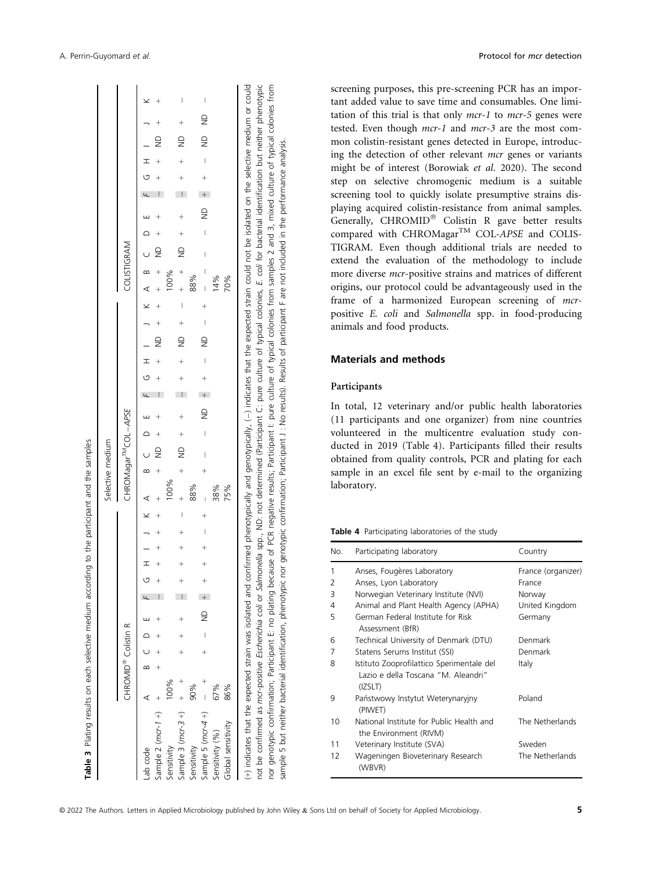$\mathfrak{a}$ 

|                                                                                                                                                                                                   |                                 |  |             |               |  |  |  | Selective medium                                          |  |                       |  |                               |               |  |     |                                           |               |  |                |                    |   |
|---------------------------------------------------------------------------------------------------------------------------------------------------------------------------------------------------|---------------------------------|--|-------------|---------------|--|--|--|-----------------------------------------------------------|--|-----------------------|--|-------------------------------|---------------|--|-----|-------------------------------------------|---------------|--|----------------|--------------------|---|
|                                                                                                                                                                                                   | CHROMID <sup>®</sup> Colistin R |  |             |               |  |  |  | CHROMagar <sup>TM</sup> COL-APSE                          |  |                       |  |                               |               |  |     | COLISTIGRAM                               |               |  |                |                    |   |
| Sample 2 $(mcr-1 + )$ +<br>Lab code                                                                                                                                                               |                                 |  |             |               |  |  |  | $\begin{array}{cccccccc}\nH & 1 & 1 & K & A\n\end{array}$ |  |                       |  |                               |               |  |     |                                           |               |  | $\overline{P}$ |                    |   |
| Sensitivity                                                                                                                                                                                       | 100%                            |  |             |               |  |  |  |                                                           |  |                       |  |                               |               |  |     |                                           |               |  |                |                    |   |
| Sample 3 $(mc-3 +)$ +                                                                                                                                                                             |                                 |  | $+$ $+$ $+$ |               |  |  |  | $+$ $+$ $\qquad \qquad +$ $+$ $+$                         |  |                       |  | $+$ $\frac{1}{2}$ $+$ $+$ $+$ |               |  |     | $+$ $+$ $\qquad \qquad +$ $+$ $+$ $+$ $+$ |               |  |                | $+$ $\Omega$ + $+$ |   |
| Sensitivity                                                                                                                                                                                       | 90%                             |  |             |               |  |  |  | 88%                                                       |  |                       |  |                               |               |  | 88% |                                           |               |  |                |                    |   |
| Sample 5 $(mc-4+)$ - +                                                                                                                                                                            |                                 |  |             | $\frac{1}{2}$ |  |  |  |                                                           |  | $+$ $+$ $\frac{1}{2}$ |  |                               | $\frac{1}{2}$ |  |     |                                           | $\frac{1}{2}$ |  |                | $-1$ ND $-$        | I |
| Sensitivity (%)                                                                                                                                                                                   | 67%                             |  |             |               |  |  |  | 38%                                                       |  |                       |  |                               |               |  | 14% |                                           |               |  |                |                    |   |
| Global sensitivity                                                                                                                                                                                | 86%                             |  |             |               |  |  |  | 75%                                                       |  |                       |  |                               |               |  | 70% |                                           |               |  |                |                    |   |
| (+) indicates that the expected strain was isolated and confirmed phenotypically and genotypically, (-) indicates that the expected strain could not be isolated on the selective medium or could |                                 |  |             |               |  |  |  |                                                           |  |                       |  |                               |               |  |     |                                           |               |  |                |                    |   |

genotypic confirmation; Participant E: no plating because of PCR negative results; Participant I: pure culture of typical colonies from samples 2 and 3, mixed culture of typical colonies from not be confirmed as mcr-positive Escherichia coli or Salmonella spp., ND: not determined (Participant C: pure culture of typical colonies, E. coli for bacterial identification but neither phenotypic not be confirmed as mcr-positive Escherichia coli or Salmond Caternined (Participant C: pure culture of typical colonies, E. coli for bacterial identification but neither phenotypic nor genotypic confirmation; Participant E: no plating because of PCR negative results; Participant I: pure culture of typical colonies from samples 2 and 3, mixed culture of typical colonies from sample 5 but neither bacterial identification, phenotypic nor genotypic confirmation; Participant J : No results). Results of participant F are not included in the performance analysis sample 5 but neither bacterial identification, phenotypic nor genotypic confirmation; Participant J. No results). Results of participant F are not included in the performance analysis nor

screening purposes, this pre-screening PCR has an important added value to save time and consumables. One limitation of this trial is that only mcr-1 to mcr-5 genes were tested. Even though mcr-1 and mcr-3 are the most common colistin-resistant genes detected in Europe, introducing the detection of other relevant mcr genes or variants might be of interest (Borowiak et al. 2020). The second step on selective chromogenic medium is a suitable screening tool to quickly isolate presumptive strains displaying acquired colistin-resistance from animal samples. Generally,  $CHROMID^@$  Colistin R gave better results compared with CHROMagar<sup>TM</sup> COL-APSE and COLIS-TIGRAM. Even though additional trials are needed to extend the evaluation of the methodology to include more diverse mcr-positive strains and matrices of different origins, our protocol could be advantageously used in the frame of a harmonized European screening of mcrpositive E. coli and Salmonella spp. in food-producing animals and food products.

# Materials and methods

## Participants

In total, 12 veterinary and/or public health laboratories (11 participants and one organizer) from nine countries volunteered in the multicentre evaluation study conducted in 2019 (Table 4). Participants filled their results obtained from quality controls, PCR and plating for each sample in an excel file sent by e-mail to the organizing laboratory.

#### Table 4 Participating laboratories of the study

| No. | Participating laboratory                                                                    | Country            |
|-----|---------------------------------------------------------------------------------------------|--------------------|
| 1   | Anses, Fougères Laboratory                                                                  | France (organizer) |
| 2   | Anses, Lyon Laboratory                                                                      | France             |
| 3   | Norwegian Veterinary Institute (NVI)                                                        | Norway             |
| 4   | Animal and Plant Health Agency (APHA)                                                       | United Kingdom     |
| 5   | German Federal Institute for Risk<br>Assessment (BfR)                                       | Germany            |
| 6   | Technical University of Denmark (DTU)                                                       | Denmark            |
| 7   | Statens Serums Institut (SSI)                                                               | Denmark            |
| 8   | Istituto Zooprofilattico Sperimentale del<br>Lazio e della Toscana "M. Aleandri"<br>(IZSLT) | Italy              |
| 9   | Państwowy Instytut Weterynaryjny<br>(PIWET)                                                 | Poland             |
| 10  | National Institute for Public Health and<br>the Environment (RIVM)                          | The Netherlands    |
| 11  | Veterinary Institute (SVA)                                                                  | Sweden             |
| 12  | Wageningen Bioveterinary Research<br>(WBVR)                                                 | The Netherlands    |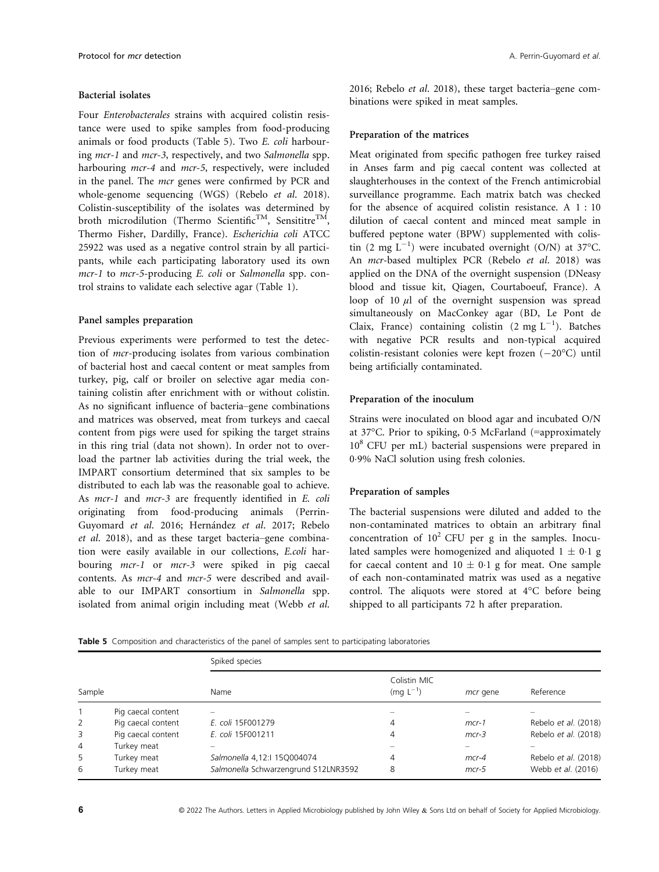#### Bacterial isolates

Four Enterobacterales strains with acquired colistin resistance were used to spike samples from food-producing animals or food products (Table 5). Two E. coli harbouring mcr-1 and mcr-3, respectively, and two Salmonella spp. harbouring *mcr*-4 and *mcr*-5, respectively, were included in the panel. The mcr genes were confirmed by PCR and whole-genome sequencing (WGS) (Rebelo et al. 2018). Colistin-susceptibility of the isolates was determined by broth microdilution (Thermo Scientific<sup>TM</sup>, Sensititre<sup>TM</sup>, Thermo Fisher, Dardilly, France). Escherichia coli ATCC 25922 was used as a negative control strain by all participants, while each participating laboratory used its own mcr-1 to mcr-5-producing E. coli or Salmonella spp. control strains to validate each selective agar (Table 1).

## Panel samples preparation

Previous experiments were performed to test the detection of mcr-producing isolates from various combination of bacterial host and caecal content or meat samples from turkey, pig, calf or broiler on selective agar media containing colistin after enrichment with or without colistin. As no significant influence of bacteria–gene combinations and matrices was observed, meat from turkeys and caecal content from pigs were used for spiking the target strains in this ring trial (data not shown). In order not to overload the partner lab activities during the trial week, the IMPART consortium determined that six samples to be distributed to each lab was the reasonable goal to achieve. As mcr-1 and mcr-3 are frequently identified in E. coli originating from food-producing animals (Perrin-Guyomard et al. 2016; Hernández et al. 2017; Rebelo et al. 2018), and as these target bacteria–gene combination were easily available in our collections, E.coli harbouring mcr-1 or mcr-3 were spiked in pig caecal contents. As mcr-4 and mcr-5 were described and available to our IMPART consortium in Salmonella spp. isolated from animal origin including meat (Webb et al.

2016; Rebelo et al. 2018), these target bacteria–gene combinations were spiked in meat samples.

## Preparation of the matrices

Meat originated from specific pathogen free turkey raised in Anses farm and pig caecal content was collected at slaughterhouses in the context of the French antimicrobial surveillance programme. Each matrix batch was checked for the absence of acquired colistin resistance. A 1 : 10 dilution of caecal content and minced meat sample in buffered peptone water (BPW) supplemented with colistin (2 mg  $L^{-1}$ ) were incubated overnight (O/N) at 37°C. An mcr-based multiplex PCR (Rebelo et al. 2018) was applied on the DNA of the overnight suspension (DNeasy blood and tissue kit, Qiagen, Courtaboeuf, France). A loop of 10  $\mu$ l of the overnight suspension was spread simultaneously on MacConkey agar (BD, Le Pont de Claix, France) containing colistin  $(2 \text{ mg } L^{-1})$ . Batches with negative PCR results and non-typical acquired colistin-resistant colonies were kept frozen  $(-20^{\circ}C)$  until being artificially contaminated.

## Preparation of the inoculum

Strains were inoculated on blood agar and incubated O/N at 37°C. Prior to spiking, 05 McFarland (=approximately 10<sup>8</sup> CFU per mL) bacterial suspensions were prepared in 09% NaCl solution using fresh colonies.

## Preparation of samples

The bacterial suspensions were diluted and added to the non-contaminated matrices to obtain an arbitrary final concentration of  $10^2$  CFU per g in the samples. Inoculated samples were homogenized and aliquoted  $1 \pm 0.1$  g for caecal content and  $10 \pm 0.1$  g for meat. One sample of each non-contaminated matrix was used as a negative control. The aliquots were stored at 4°C before being shipped to all participants 72 h after preparation.

Table 5 Composition and characteristics of the panel of samples sent to participating laboratories

|              |                    | Spiked species                       |                               |          |                      |
|--------------|--------------------|--------------------------------------|-------------------------------|----------|----------------------|
| Sample       |                    | Name                                 | Colistin MIC<br>$(mq L^{-1})$ | mcr gene | Reference            |
|              | Pig caecal content |                                      |                               |          |                      |
| $\mathbf{2}$ | Pig caecal content | E. coli 15F001279                    | 4                             | $mcr-1$  | Rebelo et al. (2018) |
| 3            | Pig caecal content | E. coli 15F001211                    | 4                             | $mcr-3$  | Rebelo et al. (2018) |
| 4            | Turkey meat        |                                      |                               |          |                      |
| 5            | Turkey meat        | Salmonella 4,12:1 15Q004074          | 4                             | $mcr-4$  | Rebelo et al. (2018) |
| 6            | Turkey meat        | Salmonella Schwarzengrund S12LNR3592 | 8                             | $mcr-5$  | Webb et al. (2016)   |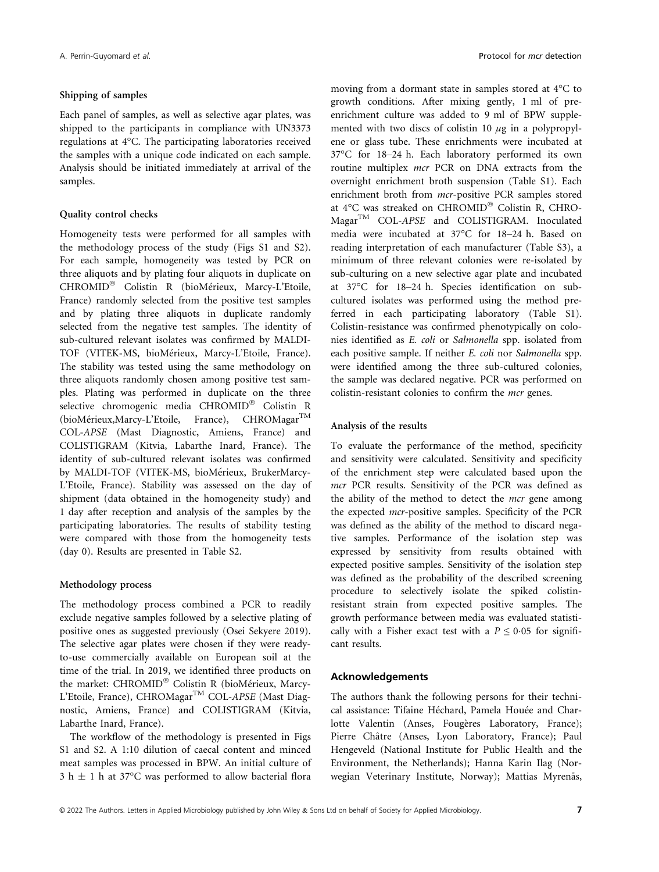#### Shipping of samples

Each panel of samples, as well as selective agar plates, was shipped to the participants in compliance with UN3373 regulations at 4°C. The participating laboratories received the samples with a unique code indicated on each sample. Analysis should be initiated immediately at arrival of the samples.

#### Quality control checks

Homogeneity tests were performed for all samples with the methodology process of the study (Figs S1 and S2). For each sample, homogeneity was tested by PCR on three aliquots and by plating four aliquots in duplicate on CHROMID<sup>®</sup> Colistin R (bioMérieux, Marcy-L'Etoile, France) randomly selected from the positive test samples and by plating three aliquots in duplicate randomly selected from the negative test samples. The identity of sub-cultured relevant isolates was confirmed by MALDI-TOF (VITEK-MS, bioMérieux, Marcy-L'Etoile, France). The stability was tested using the same methodology on three aliquots randomly chosen among positive test samples. Plating was performed in duplicate on the three selective chromogenic media CHROMID® Colistin R (bioMérieux, Marcy-L'Etoile, France), CHROMagar<sup>TM</sup> COL-APSE (Mast Diagnostic, Amiens, France) and COLISTIGRAM (Kitvia, Labarthe Inard, France). The identity of sub-cultured relevant isolates was confirmed by MALDI-TOF (VITEK-MS, bioMerieux, BrukerMarcy-L'Etoile, France). Stability was assessed on the day of shipment (data obtained in the homogeneity study) and 1 day after reception and analysis of the samples by the participating laboratories. The results of stability testing were compared with those from the homogeneity tests (day 0). Results are presented in Table S2.

#### Methodology process

The methodology process combined a PCR to readily exclude negative samples followed by a selective plating of positive ones as suggested previously (Osei Sekyere 2019). The selective agar plates were chosen if they were readyto-use commercially available on European soil at the time of the trial. In 2019, we identified three products on the market: CHROMID<sup>®</sup> Colistin R (bioMérieux, Marcy-L'Etoile, France), CHROMagar<sup>TM</sup> COL-APSE (Mast Diagnostic, Amiens, France) and COLISTIGRAM (Kitvia, Labarthe Inard, France).

The workflow of the methodology is presented in Figs S1 and S2. A 1:10 dilution of caecal content and minced meat samples was processed in BPW. An initial culture of 3 h  $\pm$  1 h at 37°C was performed to allow bacterial flora

moving from a dormant state in samples stored at 4°C to growth conditions. After mixing gently, 1 ml of preenrichment culture was added to 9 ml of BPW supplemented with two discs of colistin 10  $\mu$ g in a polypropylene or glass tube. These enrichments were incubated at 37°C for 18–24 h. Each laboratory performed its own routine multiplex mcr PCR on DNA extracts from the overnight enrichment broth suspension (Table S1). Each enrichment broth from mcr-positive PCR samples stored at  $4^{\circ}$ C was streaked on CHROMID® Colistin R, CHRO-MagarTM COL-APSE and COLISTIGRAM. Inoculated media were incubated at 37°C for 18–24 h. Based on reading interpretation of each manufacturer (Table S3), a minimum of three relevant colonies were re-isolated by sub-culturing on a new selective agar plate and incubated at 37°C for 18–24 h. Species identification on subcultured isolates was performed using the method preferred in each participating laboratory (Table S1). Colistin-resistance was confirmed phenotypically on colonies identified as E. coli or Salmonella spp. isolated from each positive sample. If neither E. coli nor Salmonella spp. were identified among the three sub-cultured colonies, the sample was declared negative. PCR was performed on colistin-resistant colonies to confirm the mcr genes.

## Analysis of the results

To evaluate the performance of the method, specificity and sensitivity were calculated. Sensitivity and specificity of the enrichment step were calculated based upon the mcr PCR results. Sensitivity of the PCR was defined as the ability of the method to detect the mcr gene among the expected mcr-positive samples. Specificity of the PCR was defined as the ability of the method to discard negative samples. Performance of the isolation step was expressed by sensitivity from results obtained with expected positive samples. Sensitivity of the isolation step was defined as the probability of the described screening procedure to selectively isolate the spiked colistinresistant strain from expected positive samples. The growth performance between media was evaluated statistically with a Fisher exact test with a  $P \le 0.05$  for significant results.

#### Acknowledgements

The authors thank the following persons for their technical assistance: Tifaine Hechard, Pamela Houee and Charlotte Valentin (Anses, Fougères Laboratory, France); Pierre Châtre (Anses, Lyon Laboratory, France); Paul Hengeveld (National Institute for Public Health and the Environment, the Netherlands); Hanna Karin Ilag (Norwegian Veterinary Institute, Norway); Mattias Myrenås,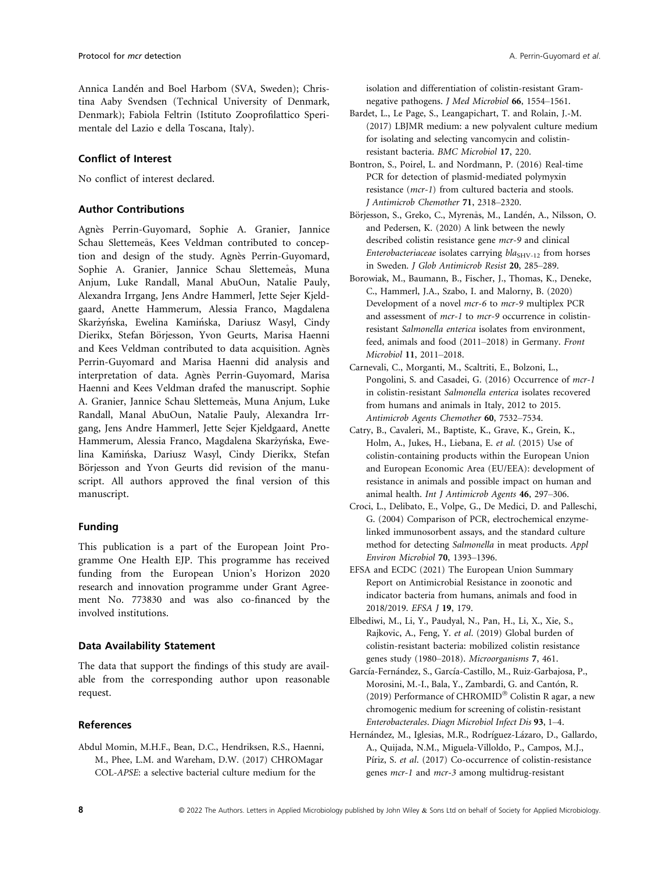Annica Landen and Boel Harbom (SVA, Sweden); Christina Aaby Svendsen (Technical University of Denmark, Denmark); Fabiola Feltrin (Istituto Zooprofilattico Sperimentale del Lazio e della Toscana, Italy).

# Conflict of Interest

No conflict of interest declared.

# Author Contributions

Agnes Perrin-Guyomard, Sophie A. Granier, Jannice Schau Slettemeås, Kees Veldman contributed to conception and design of the study. Agnès Perrin-Guyomard, Sophie A. Granier, Jannice Schau Slettemeås, Muna Anjum, Luke Randall, Manal AbuOun, Natalie Pauly, Alexandra Irrgang, Jens Andre Hammerl, Jette Sejer Kjeldgaard, Anette Hammerum, Alessia Franco, Magdalena Skarżyńska, Ewelina Kamińska, Dariusz Wasyl, Cindy Dierikx, Stefan Börjesson, Yvon Geurts, Marisa Haenni and Kees Veldman contributed to data acquisition. Agnes Perrin-Guyomard and Marisa Haenni did analysis and interpretation of data. Agnès Perrin-Guyomard, Marisa Haenni and Kees Veldman drafed the manuscript. Sophie A. Granier, Jannice Schau Slettemeås, Muna Anjum, Luke Randall, Manal AbuOun, Natalie Pauly, Alexandra Irrgang, Jens Andre Hammerl, Jette Sejer Kjeldgaard, Anette Hammerum, Alessia Franco, Magdalena Skarżyńska, Ewelina Kaminska, Dariusz Wasyl, Cindy Dierikx, Stefan Börjesson and Yvon Geurts did revision of the manuscript. All authors approved the final version of this manuscript.

# Funding

This publication is a part of the European Joint Programme One Health EJP. This programme has received funding from the European Union's Horizon 2020 research and innovation programme under Grant Agreement No. 773830 and was also co-financed by the involved institutions.

# Data Availability Statement

The data that support the findings of this study are available from the corresponding author upon reasonable request.

# References

Abdul Momin, M.H.F., Bean, D.C., Hendriksen, R.S., Haenni, M., Phee, L.M. and Wareham, D.W. (2017) CHROMagar COL-APSE: a selective bacterial culture medium for the

isolation and differentiation of colistin-resistant Gramnegative pathogens. J Med Microbiol 66, 1554–1561.

- Bardet, L., Le Page, S., Leangapichart, T. and Rolain, J.-M. (2017) LBJMR medium: a new polyvalent culture medium for isolating and selecting vancomycin and colistinresistant bacteria. BMC Microbiol 17, 220.
- Bontron, S., Poirel, L. and Nordmann, P. (2016) Real-time PCR for detection of plasmid-mediated polymyxin resistance (mcr-1) from cultured bacteria and stools. J Antimicrob Chemother 71, 2318–2320.
- Börjesson, S., Greko, C., Myrenås, M., Landén, A., Nilsson, O. and Pedersen, K. (2020) A link between the newly described colistin resistance gene mcr-9 and clinical Enterobacteriaceae isolates carrying  $bla<sub>SHV-12</sub>$  from horses in Sweden. J Glob Antimicrob Resist 20, 285–289.
- Borowiak, M., Baumann, B., Fischer, J., Thomas, K., Deneke, C., Hammerl, J.A., Szabo, I. and Malorny, B. (2020) Development of a novel mcr-6 to mcr-9 multiplex PCR and assessment of mcr-1 to mcr-9 occurrence in colistinresistant Salmonella enterica isolates from environment, feed, animals and food (2011–2018) in Germany. Front Microbiol 11, 2011–2018.
- Carnevali, C., Morganti, M., Scaltriti, E., Bolzoni, L., Pongolini, S. and Casadei, G. (2016) Occurrence of mcr-1 in colistin-resistant Salmonella enterica isolates recovered from humans and animals in Italy, 2012 to 2015. Antimicrob Agents Chemother 60, 7532–7534.
- Catry, B., Cavaleri, M., Baptiste, K., Grave, K., Grein, K., Holm, A., Jukes, H., Liebana, E. et al. (2015) Use of colistin-containing products within the European Union and European Economic Area (EU/EEA): development of resistance in animals and possible impact on human and animal health. Int J Antimicrob Agents 46, 297–306.
- Croci, L., Delibato, E., Volpe, G., De Medici, D. and Palleschi, G. (2004) Comparison of PCR, electrochemical enzymelinked immunosorbent assays, and the standard culture method for detecting Salmonella in meat products. Appl Environ Microbiol 70, 1393–1396.
- EFSA and ECDC (2021) The European Union Summary Report on Antimicrobial Resistance in zoonotic and indicator bacteria from humans, animals and food in 2018/2019. EFSA J 19, 179.
- Elbediwi, M., Li, Y., Paudyal, N., Pan, H., Li, X., Xie, S., Rajkovic, A., Feng, Y. et al. (2019) Global burden of colistin-resistant bacteria: mobilized colistin resistance genes study (1980–2018). Microorganisms 7, 461.
- García-Fernández, S., García-Castillo, M., Ruiz-Garbajosa, P., Morosini, M.-I., Bala, Y., Zambardi, G. and Cantón, R. (2019) Performance of CHROMID® Colistin R agar, a new chromogenic medium for screening of colistin-resistant Enterobacterales. Diagn Microbiol Infect Dis 93, 1–4.
- Hernández, M., Iglesias, M.R., Rodríguez-Lázaro, D., Gallardo, A., Quijada, N.M., Miguela-Villoldo, P., Campos, M.J., Píriz, S. et al. (2017) Co-occurrence of colistin-resistance genes mcr-1 and mcr-3 among multidrug-resistant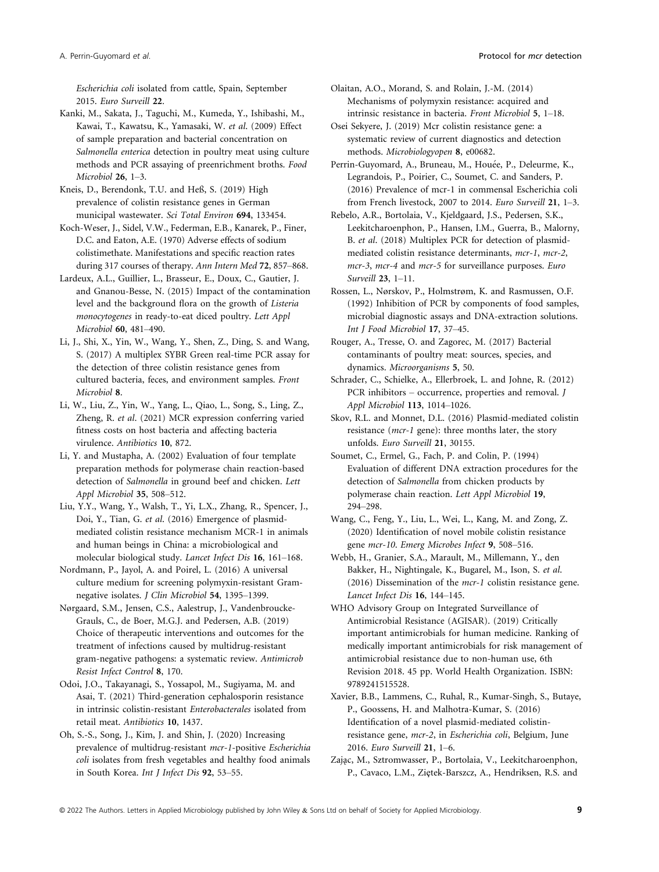Escherichia coli isolated from cattle, Spain, September 2015. Euro Surveill 22.

Kanki, M., Sakata, J., Taguchi, M., Kumeda, Y., Ishibashi, M., Kawai, T., Kawatsu, K., Yamasaki, W. et al. (2009) Effect of sample preparation and bacterial concentration on Salmonella enterica detection in poultry meat using culture methods and PCR assaying of preenrichment broths. Food Microbiol 26, 1–3.

Kneis, D., Berendonk, T.U. and Heß, S. (2019) High prevalence of colistin resistance genes in German municipal wastewater. Sci Total Environ 694, 133454.

Koch-Weser, J., Sidel, V.W., Federman, E.B., Kanarek, P., Finer, D.C. and Eaton, A.E. (1970) Adverse effects of sodium colistimethate. Manifestations and specific reaction rates during 317 courses of therapy. Ann Intern Med 72, 857–868.

Lardeux, A.L., Guillier, L., Brasseur, E., Doux, C., Gautier, J. and Gnanou-Besse, N. (2015) Impact of the contamination level and the background flora on the growth of Listeria monocytogenes in ready-to-eat diced poultry. Lett Appl Microbiol 60, 481–490.

Li, J., Shi, X., Yin, W., Wang, Y., Shen, Z., Ding, S. and Wang, S. (2017) A multiplex SYBR Green real-time PCR assay for the detection of three colistin resistance genes from cultured bacteria, feces, and environment samples. Front Microbiol 8.

Li, W., Liu, Z., Yin, W., Yang, L., Qiao, L., Song, S., Ling, Z., Zheng, R. et al. (2021) MCR expression conferring varied fitness costs on host bacteria and affecting bacteria virulence. Antibiotics 10, 872.

Li, Y. and Mustapha, A. (2002) Evaluation of four template preparation methods for polymerase chain reaction-based detection of *Salmonella* in ground beef and chicken. Lett Appl Microbiol 35, 508–512.

Liu, Y.Y., Wang, Y., Walsh, T., Yi, L.X., Zhang, R., Spencer, J., Doi, Y., Tian, G. et al. (2016) Emergence of plasmidmediated colistin resistance mechanism MCR-1 in animals and human beings in China: a microbiological and molecular biological study. Lancet Infect Dis 16, 161–168.

Nordmann, P., Jayol, A. and Poirel, L. (2016) A universal culture medium for screening polymyxin-resistant Gramnegative isolates. J Clin Microbiol 54, 1395–1399.

Nørgaard, S.M., Jensen, C.S., Aalestrup, J., Vandenbroucke-Grauls, C., de Boer, M.G.J. and Pedersen, A.B. (2019) Choice of therapeutic interventions and outcomes for the treatment of infections caused by multidrug-resistant gram-negative pathogens: a systematic review. Antimicrob Resist Infect Control 8, 170.

Odoi, J.O., Takayanagi, S., Yossapol, M., Sugiyama, M. and Asai, T. (2021) Third-generation cephalosporin resistance in intrinsic colistin-resistant Enterobacterales isolated from retail meat. Antibiotics 10, 1437.

Oh, S.-S., Song, J., Kim, J. and Shin, J. (2020) Increasing prevalence of multidrug-resistant mcr-1-positive Escherichia coli isolates from fresh vegetables and healthy food animals in South Korea. Int J Infect Dis 92, 53–55.

Olaitan, A.O., Morand, S. and Rolain, J.-M. (2014) Mechanisms of polymyxin resistance: acquired and intrinsic resistance in bacteria. Front Microbiol 5, 1–18.

Osei Sekyere, J. (2019) Mcr colistin resistance gene: a systematic review of current diagnostics and detection methods. Microbiologyopen 8, e00682.

Perrin-Guyomard, A., Bruneau, M., Houée, P., Deleurme, K., Legrandois, P., Poirier, C., Soumet, C. and Sanders, P. (2016) Prevalence of mcr-1 in commensal Escherichia coli from French livestock, 2007 to 2014. Euro Surveill 21, 1–3.

Rebelo, A.R., Bortolaia, V., Kjeldgaard, J.S., Pedersen, S.K., Leekitcharoenphon, P., Hansen, I.M., Guerra, B., Malorny, B. et al. (2018) Multiplex PCR for detection of plasmidmediated colistin resistance determinants, mcr-1, mcr-2, mcr-3, mcr-4 and mcr-5 for surveillance purposes. Euro Surveill 23, 1–11.

Rossen, L., Nørskov, P., Holmstrøm, K. and Rasmussen, O.F. (1992) Inhibition of PCR by components of food samples, microbial diagnostic assays and DNA-extraction solutions. Int J Food Microbiol 17, 37–45.

Rouger, A., Tresse, O. and Zagorec, M. (2017) Bacterial contaminants of poultry meat: sources, species, and dynamics. Microorganisms 5, 50.

Schrader, C., Schielke, A., Ellerbroek, L. and Johne, R. (2012) PCR inhibitors – occurrence, properties and removal. J Appl Microbiol 113, 1014–1026.

Skov, R.L. and Monnet, D.L. (2016) Plasmid-mediated colistin resistance (mcr-1 gene): three months later, the story unfolds. Euro Surveill 21, 30155.

Soumet, C., Ermel, G., Fach, P. and Colin, P. (1994) Evaluation of different DNA extraction procedures for the detection of Salmonella from chicken products by polymerase chain reaction. Lett Appl Microbiol 19, 294–298.

Wang, C., Feng, Y., Liu, L., Wei, L., Kang, M. and Zong, Z. (2020) Identification of novel mobile colistin resistance gene mcr-10. Emerg Microbes Infect 9, 508–516.

Webb, H., Granier, S.A., Marault, M., Millemann, Y., den Bakker, H., Nightingale, K., Bugarel, M., Ison, S. et al. (2016) Dissemination of the mcr-1 colistin resistance gene. Lancet Infect Dis 16, 144–145.

WHO Advisory Group on Integrated Surveillance of Antimicrobial Resistance (AGISAR). (2019) Critically important antimicrobials for human medicine. Ranking of medically important antimicrobials for risk management of antimicrobial resistance due to non-human use, 6th Revision 2018. 45 pp. World Health Organization. ISBN: 9789241515528.

Xavier, B.B., Lammens, C., Ruhal, R., Kumar-Singh, S., Butaye, P., Goossens, H. and Malhotra-Kumar, S. (2016) Identification of a novel plasmid-mediated colistinresistance gene, mcr-2, in Escherichia coli, Belgium, June 2016. Euro Surveill 21, 1–6.

Zajazc, M., Sztromwasser, P., Bortolaia, V., Leekitcharoenphon, P., Cavaco, L.M., Ziętek-Barszcz, A., Hendriksen, R.S. and